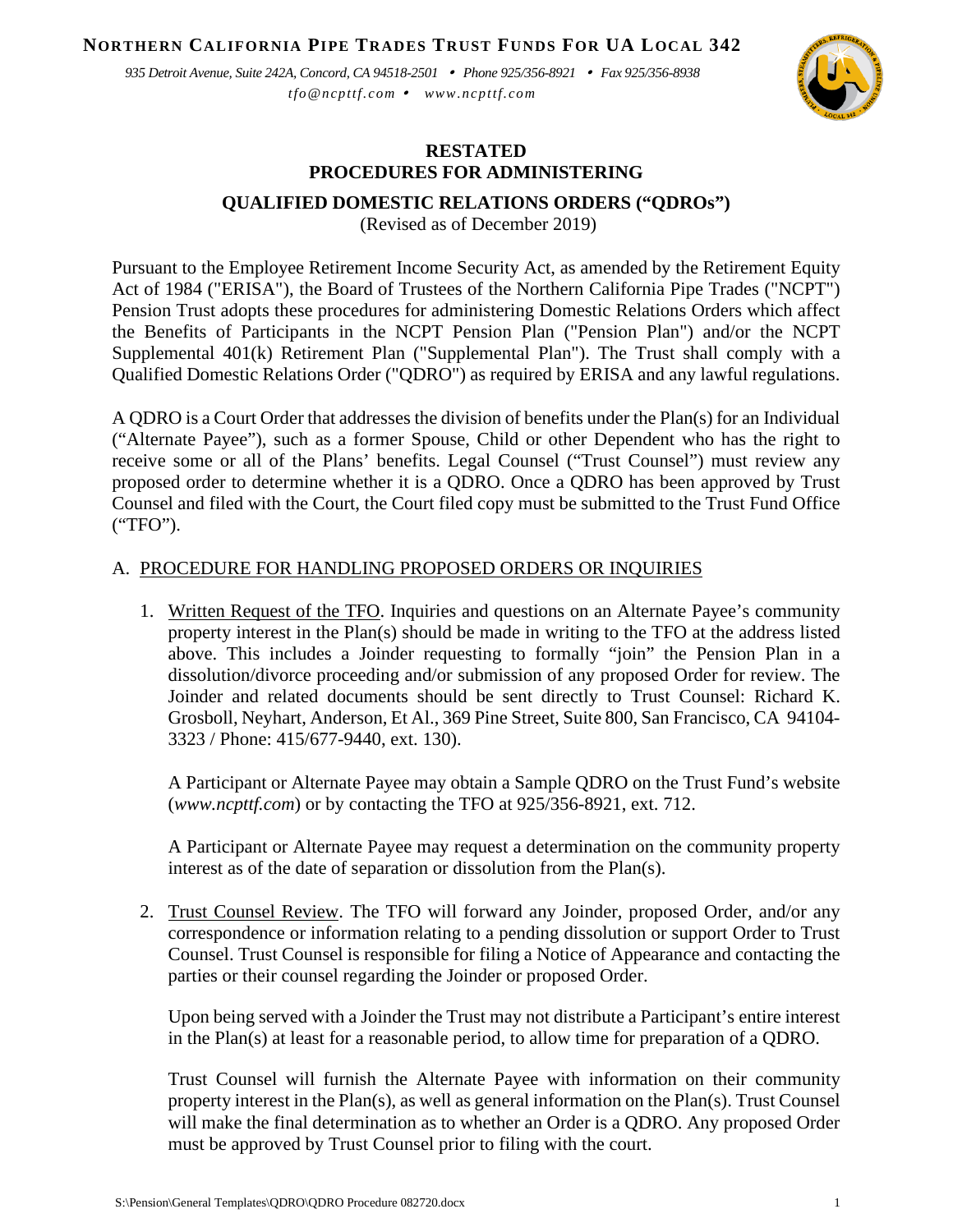**NORTHERN CALIFORNIA PIPE TRADES TRUST FUNDS FOR UA LOCAL 342**

*935 Detroit Avenue, Suite 242A, Concord, CA 94518-2501 Phone 925/356-8921 Fax 925/356-8938 tfo@ncpttf.com www.ncpttf.com*



### **RESTATED PROCEDURES FOR ADMINISTERING**

## **QUALIFIED DOMESTIC RELATIONS ORDERS ("QDROs")**

(Revised as of December 2019)

Pursuant to the Employee Retirement Income Security Act, as amended by the Retirement Equity Act of 1984 ("ERISA"), the Board of Trustees of the Northern California Pipe Trades ("NCPT") Pension Trust adopts these procedures for administering Domestic Relations Orders which affect the Benefits of Participants in the NCPT Pension Plan ("Pension Plan") and/or the NCPT Supplemental 401(k) Retirement Plan ("Supplemental Plan"). The Trust shall comply with a Qualified Domestic Relations Order ("QDRO") as required by ERISA and any lawful regulations.

A QDRO is a Court Order that addresses the division of benefits under the Plan(s) for an Individual ("Alternate Payee"), such as a former Spouse, Child or other Dependent who has the right to receive some or all of the Plans' benefits. Legal Counsel ("Trust Counsel") must review any proposed order to determine whether it is a QDRO. Once a QDRO has been approved by Trust Counsel and filed with the Court, the Court filed copy must be submitted to the Trust Fund Office ("TFO").

#### A. PROCEDURE FOR HANDLING PROPOSED ORDERS OR INQUIRIES

1. Written Request of the TFO. Inquiries and questions on an Alternate Payee's community property interest in the Plan(s) should be made in writing to the TFO at the address listed above. This includes a Joinder requesting to formally "join" the Pension Plan in a dissolution/divorce proceeding and/or submission of any proposed Order for review. The Joinder and related documents should be sent directly to Trust Counsel: Richard K. Grosboll, Neyhart, Anderson, Et Al., 369 Pine Street, Suite 800, San Francisco, CA 94104- 3323 / Phone: 415/677-9440, ext. 130).

A Participant or Alternate Payee may obtain a Sample QDRO on the Trust Fund's website (*[www.ncpttf.com](http://www.ncpttf.com/)*) or by contacting the TFO at 925/356-8921, ext. 712.

A Participant or Alternate Payee may request a determination on the community property interest as of the date of separation or dissolution from the Plan(s).

2. Trust Counsel Review. The TFO will forward any Joinder, proposed Order, and/or any correspondence or information relating to a pending dissolution or support Order to Trust Counsel. Trust Counsel is responsible for filing a Notice of Appearance and contacting the parties or their counsel regarding the Joinder or proposed Order.

Upon being served with a Joinder the Trust may not distribute a Participant's entire interest in the Plan(s) at least for a reasonable period, to allow time for preparation of a QDRO.

Trust Counsel will furnish the Alternate Payee with information on their community property interest in the Plan(s), as well as general information on the Plan(s). Trust Counsel will make the final determination as to whether an Order is a QDRO. Any proposed Order must be approved by Trust Counsel prior to filing with the court.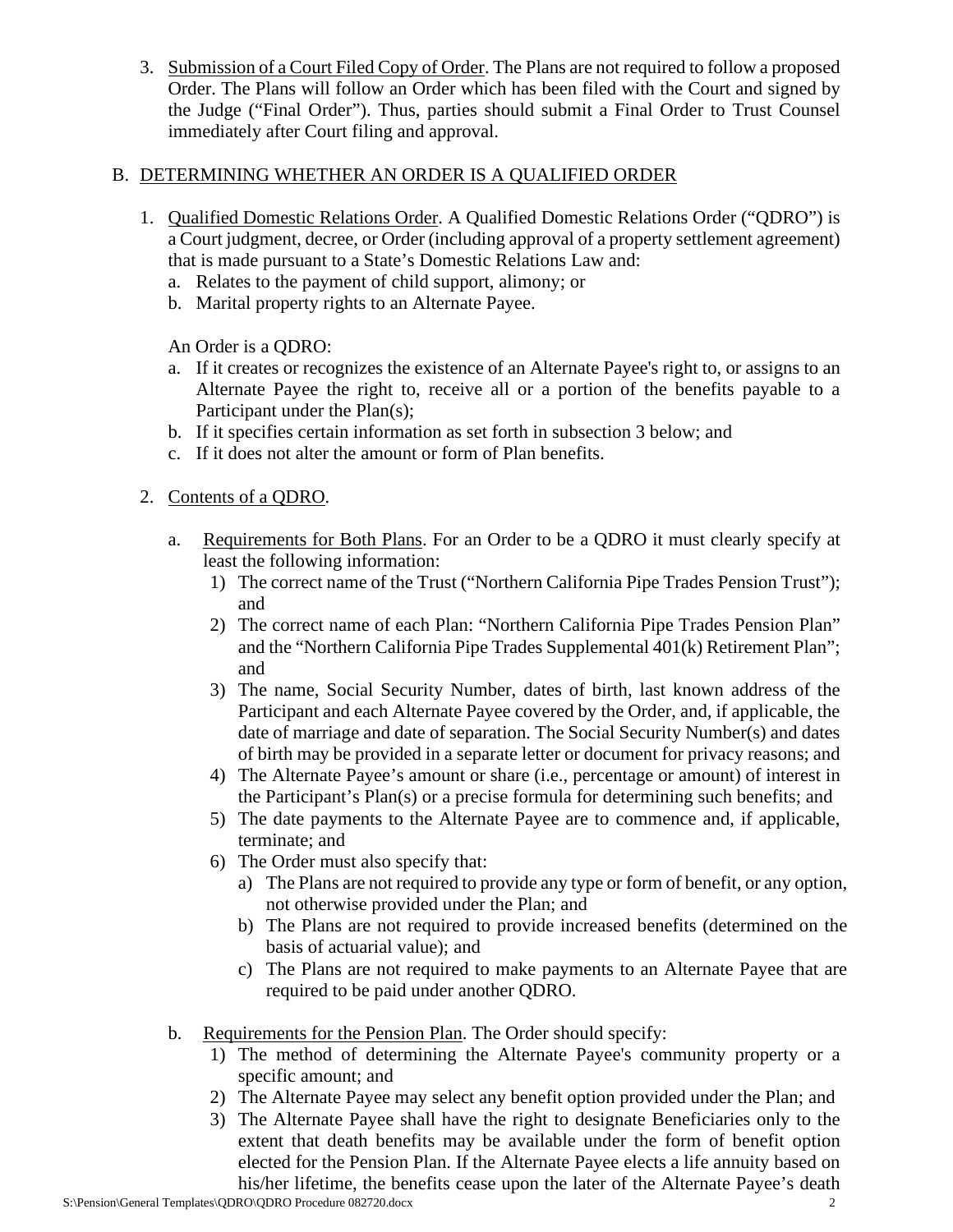3. Submission of a Court Filed Copy of Order. The Plans are not required to follow a proposed Order. The Plans will follow an Order which has been filed with the Court and signed by the Judge ("Final Order"). Thus, parties should submit a Final Order to Trust Counsel immediately after Court filing and approval.

### B. DETERMINING WHETHER AN ORDER IS A QUALIFIED ORDER

- 1. Qualified Domestic Relations Order. A Qualified Domestic Relations Order ("QDRO") is a Court judgment, decree, or Order (including approval of a property settlement agreement) that is made pursuant to a State's Domestic Relations Law and:
	- a. Relates to the payment of child support, alimony; or
	- b. Marital property rights to an Alternate Payee.

An Order is a QDRO:

- a. If it creates or recognizes the existence of an Alternate Payee's right to, or assigns to an Alternate Payee the right to, receive all or a portion of the benefits payable to a Participant under the Plan(s);
- b. If it specifies certain information as set forth in subsection 3 below; and
- c. If it does not alter the amount or form of Plan benefits.

# 2. Contents of a QDRO.

- a. Requirements for Both Plans. For an Order to be a QDRO it must clearly specify at least the following information:
	- 1) The correct name of the Trust ("Northern California Pipe Trades Pension Trust"); and
	- 2) The correct name of each Plan: "Northern California Pipe Trades Pension Plan" and the "Northern California Pipe Trades Supplemental 401(k) Retirement Plan"; and
	- 3) The name, Social Security Number, dates of birth, last known address of the Participant and each Alternate Payee covered by the Order, and, if applicable, the date of marriage and date of separation. The Social Security Number(s) and dates of birth may be provided in a separate letter or document for privacy reasons; and
	- 4) The Alternate Payee's amount or share (i.e., percentage or amount) of interest in the Participant's Plan(s) or a precise formula for determining such benefits; and
	- 5) The date payments to the Alternate Payee are to commence and, if applicable, terminate; and
	- 6) The Order must also specify that:
		- a) The Plans are not required to provide any type or form of benefit, or any option, not otherwise provided under the Plan; and
		- b) The Plans are not required to provide increased benefits (determined on the basis of actuarial value); and
		- c) The Plans are not required to make payments to an Alternate Payee that are required to be paid under another QDRO.
- b. Requirements for the Pension Plan. The Order should specify:
	- 1) The method of determining the Alternate Payee's community property or a specific amount; and
	- 2) The Alternate Payee may select any benefit option provided under the Plan; and
	- 3) The Alternate Payee shall have the right to designate Beneficiaries only to the extent that death benefits may be available under the form of benefit option elected for the Pension Plan. If the Alternate Payee elects a life annuity based on his/her lifetime, the benefits cease upon the later of the Alternate Payee's death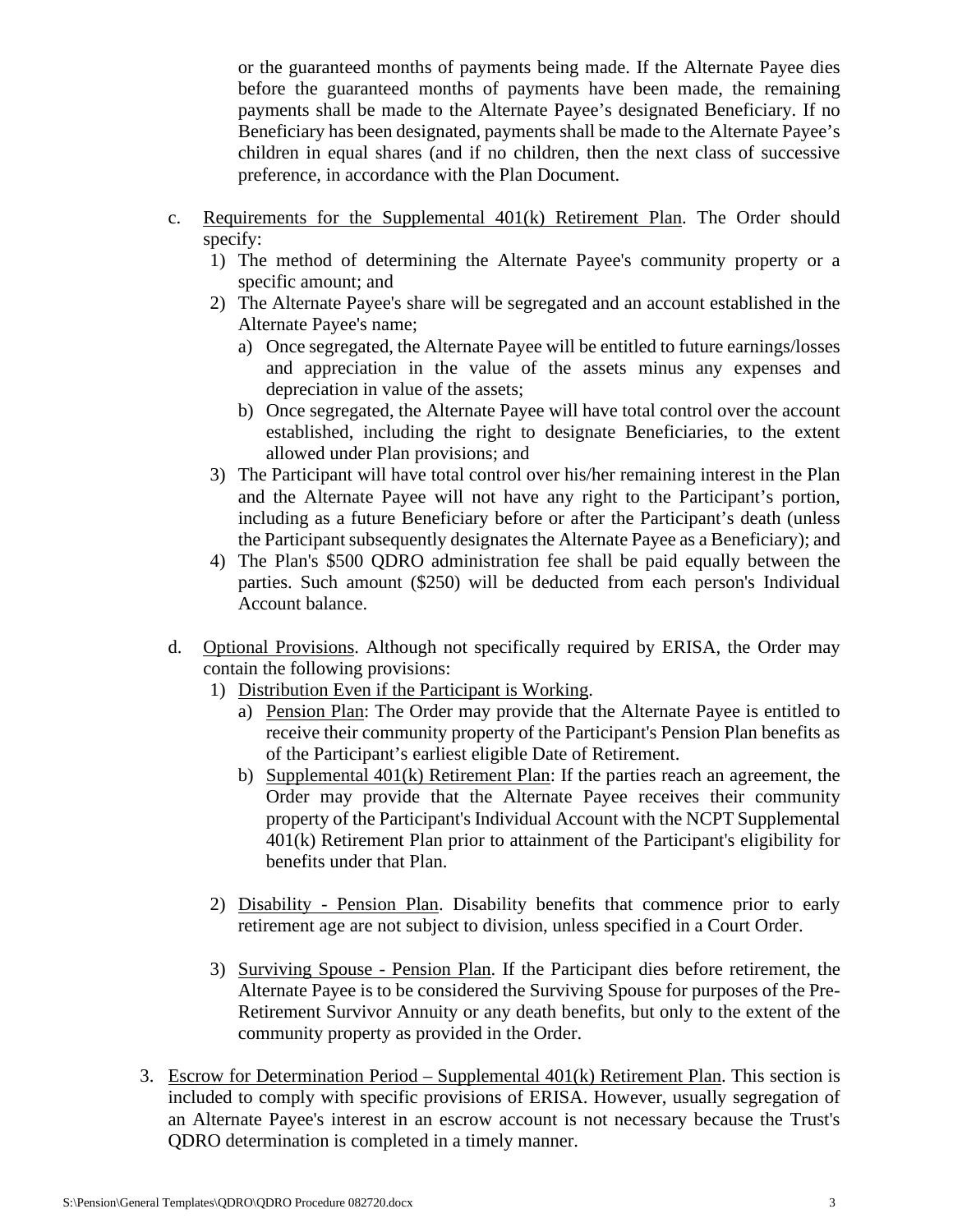or the guaranteed months of payments being made. If the Alternate Payee dies before the guaranteed months of payments have been made, the remaining payments shall be made to the Alternate Payee's designated Beneficiary. If no Beneficiary has been designated, payments shall be made to the Alternate Payee's children in equal shares (and if no children, then the next class of successive preference, in accordance with the Plan Document.

- c. Requirements for the Supplemental 401(k) Retirement Plan. The Order should specify:
	- 1) The method of determining the Alternate Payee's community property or a specific amount; and
	- 2) The Alternate Payee's share will be segregated and an account established in the Alternate Payee's name;
		- a) Once segregated, the Alternate Payee will be entitled to future earnings/losses and appreciation in the value of the assets minus any expenses and depreciation in value of the assets;
		- b) Once segregated, the Alternate Payee will have total control over the account established, including the right to designate Beneficiaries, to the extent allowed under Plan provisions; and
	- 3) The Participant will have total control over his/her remaining interest in the Plan and the Alternate Payee will not have any right to the Participant's portion, including as a future Beneficiary before or after the Participant's death (unless the Participant subsequently designates the Alternate Payee as a Beneficiary); and
	- 4) The Plan's \$500 QDRO administration fee shall be paid equally between the parties. Such amount (\$250) will be deducted from each person's Individual Account balance.
- d. Optional Provisions. Although not specifically required by ERISA, the Order may contain the following provisions:
	- 1) Distribution Even if the Participant is Working.
		- a) Pension Plan: The Order may provide that the Alternate Payee is entitled to receive their community property of the Participant's Pension Plan benefits as of the Participant's earliest eligible Date of Retirement.
		- b) Supplemental 401(k) Retirement Plan: If the parties reach an agreement, the Order may provide that the Alternate Payee receives their community property of the Participant's Individual Account with the NCPT Supplemental 401(k) Retirement Plan prior to attainment of the Participant's eligibility for benefits under that Plan.
	- 2) Disability Pension Plan. Disability benefits that commence prior to early retirement age are not subject to division, unless specified in a Court Order.
	- 3) Surviving Spouse Pension Plan. If the Participant dies before retirement, the Alternate Payee is to be considered the Surviving Spouse for purposes of the Pre-Retirement Survivor Annuity or any death benefits, but only to the extent of the community property as provided in the Order.
- 3. Escrow for Determination Period Supplemental 401(k) Retirement Plan. This section is included to comply with specific provisions of ERISA. However, usually segregation of an Alternate Payee's interest in an escrow account is not necessary because the Trust's QDRO determination is completed in a timely manner.